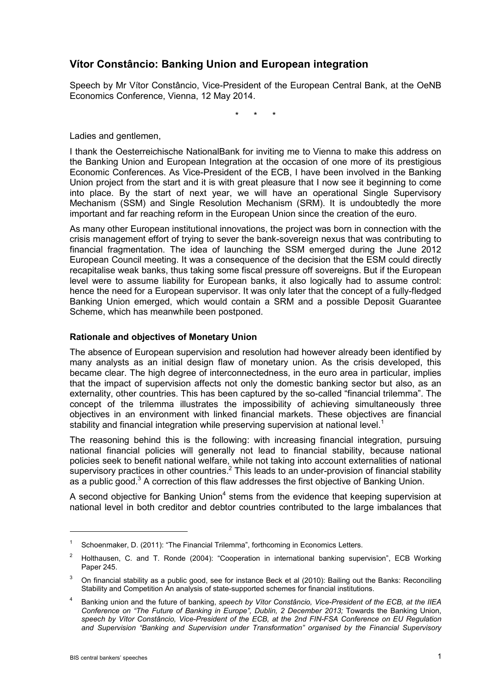# **Vítor Constâncio: Banking Union and European integration**

Speech by Mr Vítor Constâncio, Vice-President of the European Central Bank, at the OeNB Economics Conference, Vienna, 12 May 2014.

\* \* \*

Ladies and gentlemen,

I thank the Oesterreichische NationalBank for inviting me to Vienna to make this address on the Banking Union and European Integration at the occasion of one more of its prestigious Economic Conferences. As Vice-President of the ECB, I have been involved in the Banking Union project from the start and it is with great pleasure that I now see it beginning to come into place. By the start of next year, we will have an operational Single Supervisory Mechanism (SSM) and Single Resolution Mechanism (SRM). It is undoubtedly the more important and far reaching reform in the European Union since the creation of the euro.

As many other European institutional innovations, the project was born in connection with the crisis management effort of trying to sever the bank-sovereign nexus that was contributing to financial fragmentation. The idea of launching the SSM emerged during the June 2012 European Council meeting. It was a consequence of the decision that the ESM could directly recapitalise weak banks, thus taking some fiscal pressure off sovereigns. But if the European level were to assume liability for European banks, it also logically had to assume control: hence the need for a European supervisor. It was only later that the concept of a fully-fledged Banking Union emerged, which would contain a SRM and a possible Deposit Guarantee Scheme, which has meanwhile been postponed.

## **Rationale and objectives of Monetary Union**

The absence of European supervision and resolution had however already been identified by many analysts as an initial design flaw of monetary union. As the crisis developed, this became clear. The high degree of interconnectedness, in the euro area in particular, implies that the impact of supervision affects not only the domestic banking sector but also, as an externality, other countries. This has been captured by the so-called "financial trilemma". The concept of the trilemma illustrates the impossibility of achieving simultaneously three objectives in an environment with linked financial markets. These objectives are financial stability and financial integration while preserving supervision at national level.<sup>1</sup>

The reasoning behind this is the following: with increasing financial integration, pursuing national financial policies will generally not lead to financial stability, because national policies seek to benefit national welfare, while not taking into account externalities of national supervisory practices in other countries. $<sup>2</sup>$  This leads to an under-provision of financial stability</sup> as a public good. $3$  A correction of this flaw addresses the first objective of Banking Union.

A second objective for Banking Union<sup>4</sup> stems from the evidence that keeping supervision at national level in both creditor and debtor countries contributed to the large imbalances that

Schoenmaker, D. (2011): "The Financial Trilemma", forthcoming in Economics Letters.

<sup>&</sup>lt;sup>2</sup> Holthausen, C. and T. Ronde (2004): "Cooperation in international banking supervision", ECB Working Paper 245.

 $3$  On financial stability as a public good, see for instance Beck et al (2010): Bailing out the Banks: Reconciling Stability and Competition An analysis of state-supported schemes for financial institutions.

<sup>4</sup> Banking union and the future of banking, *speech by Vítor Constâncio, Vice-President of the ECB, at the IIEA Conference on "The Future of Banking in Europe", Dublin, 2 December 2013;* Towards the Banking Union, *speech by Vítor Constâncio, Vice-President of the ECB, at the 2nd FIN-FSA Conference on EU Regulation and Supervision "Banking and Supervision under Transformation" organised by the Financial Supervisory*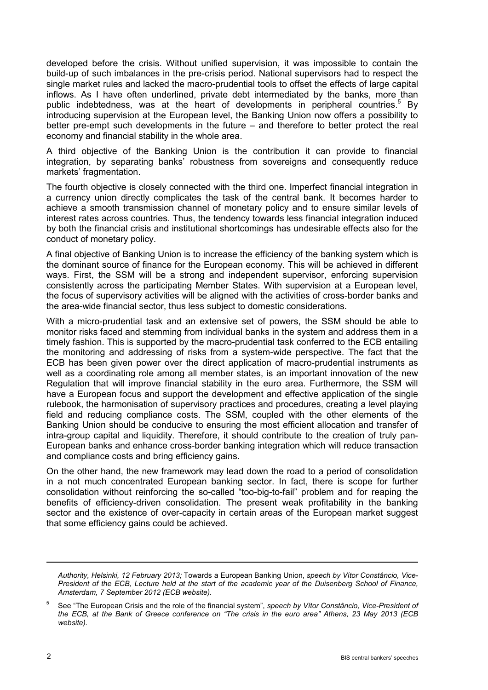developed before the crisis. Without unified supervision, it was impossible to contain the build-up of such imbalances in the pre-crisis period. National supervisors had to respect the single market rules and lacked the macro-prudential tools to offset the effects of large capital inflows. As I have often underlined, private debt intermediated by the banks, more than public indebtedness, was at the heart of developments in peripheral countries.<sup>5</sup> By introducing supervision at the European level, the Banking Union now offers a possibility to better pre-empt such developments in the future – and therefore to better protect the real economy and financial stability in the whole area.

A third objective of the Banking Union is the contribution it can provide to financial integration, by separating banks' robustness from sovereigns and consequently reduce markets' fragmentation.

The fourth objective is closely connected with the third one. Imperfect financial integration in a currency union directly complicates the task of the central bank. It becomes harder to achieve a smooth transmission channel of monetary policy and to ensure similar levels of interest rates across countries. Thus, the tendency towards less financial integration induced by both the financial crisis and institutional shortcomings has undesirable effects also for the conduct of monetary policy.

A final objective of Banking Union is to increase the efficiency of the banking system which is the dominant source of finance for the European economy. This will be achieved in different ways. First, the SSM will be a strong and independent supervisor, enforcing supervision consistently across the participating Member States. With supervision at a European level, the focus of supervisory activities will be aligned with the activities of cross-border banks and the area-wide financial sector, thus less subject to domestic considerations.

With a micro-prudential task and an extensive set of powers, the SSM should be able to monitor risks faced and stemming from individual banks in the system and address them in a timely fashion. This is supported by the macro-prudential task conferred to the ECB entailing the monitoring and addressing of risks from a system-wide perspective. The fact that the ECB has been given power over the direct application of macro-prudential instruments as well as a coordinating role among all member states, is an important innovation of the new Regulation that will improve financial stability in the euro area. Furthermore, the SSM will have a European focus and support the development and effective application of the single rulebook, the harmonisation of supervisory practices and procedures, creating a level playing field and reducing compliance costs. The SSM, coupled with the other elements of the Banking Union should be conducive to ensuring the most efficient allocation and transfer of intra-group capital and liquidity. Therefore, it should contribute to the creation of truly pan-European banks and enhance cross-border banking integration which will reduce transaction and compliance costs and bring efficiency gains.

On the other hand, the new framework may lead down the road to a period of consolidation in a not much concentrated European banking sector. In fact, there is scope for further consolidation without reinforcing the so-called "too-big-to-fail" problem and for reaping the benefits of efficiency-driven consolidation. The present weak profitability in the banking sector and the existence of over-capacity in certain areas of the European market suggest that some efficiency gains could be achieved.

*Authority, Helsinki, 12 February 2013;* Towards a European Banking Union, *speech by Vítor Constâncio, Vice-President of the ECB, Lecture held at the start of the academic year of the Duisenberg School of Finance, Amsterdam, 7 September 2012 (ECB website).*

<sup>5</sup> See "The European Crisis and the role of the financial system", *speech by Vítor Constâncio, Vice-President of the ECB, at the Bank of Greece conference on "The crisis in the euro area" Athens, 23 May 2013 (ECB website).*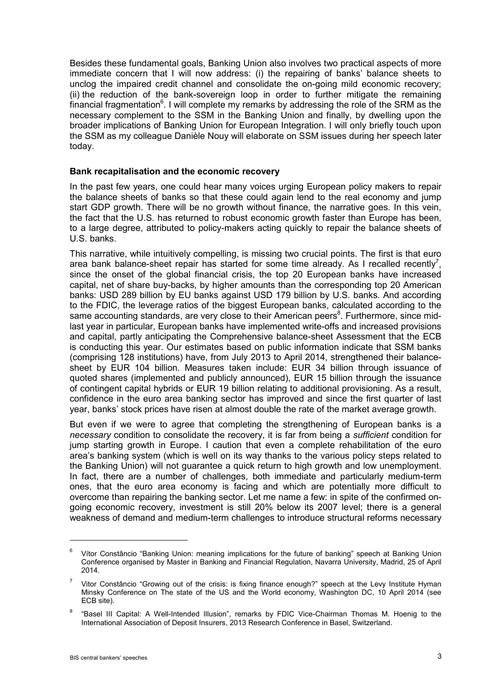Besides these fundamental goals, Banking Union also involves two practical aspects of more immediate concern that I will now address: (i) the repairing of banks' balance sheets to unclog the impaired credit channel and consolidate the on-going mild economic recovery; (ii) the reduction of the bank-sovereign loop in order to further mitigate the remaining financial fragmentation $^6$ . I will complete my remarks by addressing the role of the SRM as the necessary complement to the SSM in the Banking Union and finally, by dwelling upon the broader implications of Banking Union for European Integration. I will only briefly touch upon the SSM as my colleague Danièle Nouy will elaborate on SSM issues during her speech later today.

#### **Bank recapitalisation and the economic recovery**

In the past few years, one could hear many voices urging European policy makers to repair the balance sheets of banks so that these could again lend to the real economy and jump start GDP growth. There will be no growth without finance, the narrative goes. In this vein, the fact that the U.S. has returned to robust economic growth faster than Europe has been, to a large degree, attributed to policy-makers acting quickly to repair the balance sheets of U.S. banks.

This narrative, while intuitively compelling, is missing two crucial points. The first is that euro area bank balance-sheet repair has started for some time already. As I recalled recently<sup>7</sup>, since the onset of the global financial crisis, the top 20 European banks have increased capital, net of share buy-backs, by higher amounts than the corresponding top 20 American banks: USD 289 billion by EU banks against USD 179 billion by U.S. banks. And according to the FDIC, the leverage ratios of the biggest European banks, calculated according to the same accounting standards, are very close to their American peers<sup>8</sup>. Furthermore, since midlast year in particular, European banks have implemented write-offs and increased provisions and capital, partly anticipating the Comprehensive balance-sheet Assessment that the ECB is conducting this year. Our estimates based on public information indicate that SSM banks (comprising 128 institutions) have, from July 2013 to April 2014, strengthened their balancesheet by EUR 104 billion. Measures taken include: EUR 34 billion through issuance of quoted shares (implemented and publicly announced), EUR 15 billion through the issuance of contingent capital hybrids or EUR 19 billion relating to additional provisioning. As a result, confidence in the euro area banking sector has improved and since the first quarter of last year, banks' stock prices have risen at almost double the rate of the market average growth.

But even if we were to agree that completing the strengthening of European banks is a *necessary* condition to consolidate the recovery, it is far from being a *sufficient* condition for jump starting growth in Europe. I caution that even a complete rehabilitation of the euro area's banking system (which is well on its way thanks to the various policy steps related to the Banking Union) will not guarantee a quick return to high growth and low unemployment. In fact, there are a number of challenges, both immediate and particularly medium-term ones, that the euro area economy is facing and which are potentially more difficult to overcome than repairing the banking sector. Let me name a few: in spite of the confirmed ongoing economic recovery, investment is still 20% below its 2007 level; there is a general weakness of demand and medium-term challenges to introduce structural reforms necessary

Vítor Constâncio "Banking Union: meaning implications for the future of banking" speech at Banking Union Conference organised by Master in Banking and Financial Regulation, Navarra University, Madrid, 25 of April 2014.

Vitor Constâncio "Growing out of the crisis: is fixing finance enough?" speech at the Levy Institute Hyman Minsky Conference on The state of the US and the World economy, Washington DC, 10 April 2014 (see ECB site).

<sup>8</sup> "Basel III Capital: A Well-Intended Illusion", remarks by FDIC Vice-Chairman Thomas M. Hoenig to the International Association of Deposit Insurers, 2013 Research Conference in Basel, Switzerland.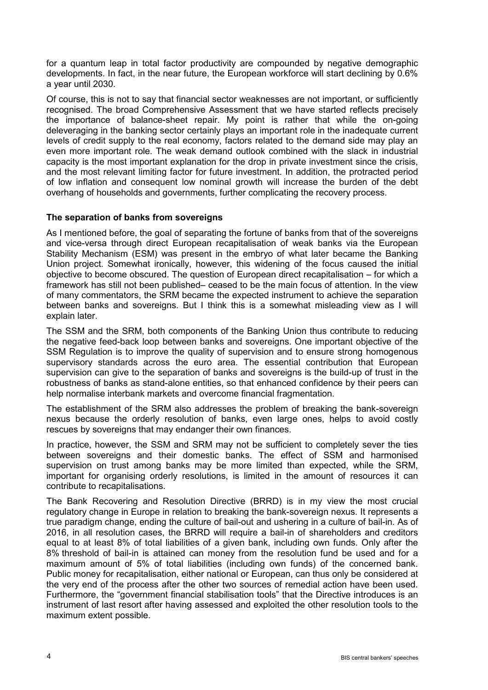for a quantum leap in total factor productivity are compounded by negative demographic developments. In fact, in the near future, the European workforce will start declining by 0.6% a year until 2030.

Of course, this is not to say that financial sector weaknesses are not important, or sufficiently recognised. The broad Comprehensive Assessment that we have started reflects precisely the importance of balance-sheet repair. My point is rather that while the on-going deleveraging in the banking sector certainly plays an important role in the inadequate current levels of credit supply to the real economy, factors related to the demand side may play an even more important role. The weak demand outlook combined with the slack in industrial capacity is the most important explanation for the drop in private investment since the crisis, and the most relevant limiting factor for future investment. In addition, the protracted period of low inflation and consequent low nominal growth will increase the burden of the debt overhang of households and governments, further complicating the recovery process.

## **The separation of banks from sovereigns**

As I mentioned before, the goal of separating the fortune of banks from that of the sovereigns and vice-versa through direct European recapitalisation of weak banks via the European Stability Mechanism (ESM) was present in the embryo of what later became the Banking Union project. Somewhat ironically, however, this widening of the focus caused the initial objective to become obscured. The question of European direct recapitalisation – for which a framework has still not been published– ceased to be the main focus of attention. In the view of many commentators, the SRM became the expected instrument to achieve the separation between banks and sovereigns. But I think this is a somewhat misleading view as I will explain later.

The SSM and the SRM, both components of the Banking Union thus contribute to reducing the negative feed-back loop between banks and sovereigns. One important objective of the SSM Regulation is to improve the quality of supervision and to ensure strong homogenous supervisory standards across the euro area. The essential contribution that European supervision can give to the separation of banks and sovereigns is the build-up of trust in the robustness of banks as stand-alone entities, so that enhanced confidence by their peers can help normalise interbank markets and overcome financial fragmentation.

The establishment of the SRM also addresses the problem of breaking the bank-sovereign nexus because the orderly resolution of banks, even large ones, helps to avoid costly rescues by sovereigns that may endanger their own finances.

In practice, however, the SSM and SRM may not be sufficient to completely sever the ties between sovereigns and their domestic banks. The effect of SSM and harmonised supervision on trust among banks may be more limited than expected, while the SRM, important for organising orderly resolutions, is limited in the amount of resources it can contribute to recapitalisations.

The Bank Recovering and Resolution Directive (BRRD) is in my view the most crucial regulatory change in Europe in relation to breaking the bank-sovereign nexus. It represents a true paradigm change, ending the culture of bail-out and ushering in a culture of bail-in. As of 2016, in all resolution cases, the BRRD will require a bail-in of shareholders and creditors equal to at least 8% of total liabilities of a given bank, including own funds. Only after the 8% threshold of bail-in is attained can money from the resolution fund be used and for a maximum amount of 5% of total liabilities (including own funds) of the concerned bank. Public money for recapitalisation, either national or European, can thus only be considered at the very end of the process after the other two sources of remedial action have been used. Furthermore, the "government financial stabilisation tools" that the Directive introduces is an instrument of last resort after having assessed and exploited the other resolution tools to the maximum extent possible.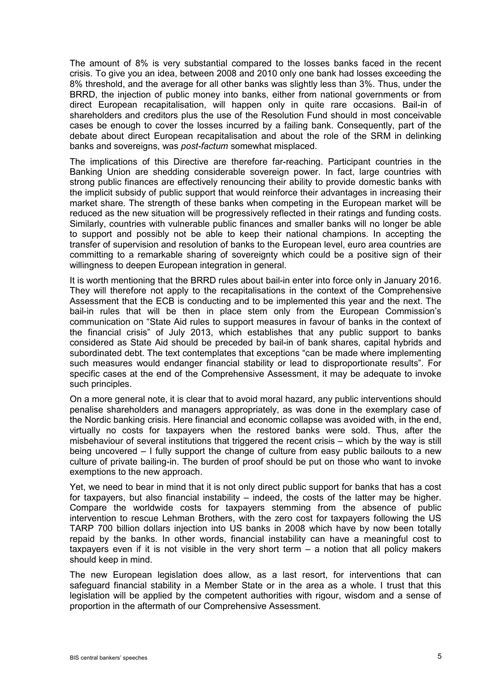The amount of 8% is very substantial compared to the losses banks faced in the recent crisis. To give you an idea, between 2008 and 2010 only one bank had losses exceeding the 8% threshold, and the average for all other banks was slightly less than 3%. Thus, under the BRRD, the injection of public money into banks, either from national governments or from direct European recapitalisation, will happen only in quite rare occasions. Bail-in of shareholders and creditors plus the use of the Resolution Fund should in most conceivable cases be enough to cover the losses incurred by a failing bank. Consequently, part of the debate about direct European recapitalisation and about the role of the SRM in delinking banks and sovereigns, was *post-factum* somewhat misplaced.

The implications of this Directive are therefore far-reaching. Participant countries in the Banking Union are shedding considerable sovereign power. In fact, large countries with strong public finances are effectively renouncing their ability to provide domestic banks with the implicit subsidy of public support that would reinforce their advantages in increasing their market share. The strength of these banks when competing in the European market will be reduced as the new situation will be progressively reflected in their ratings and funding costs. Similarly, countries with vulnerable public finances and smaller banks will no longer be able to support and possibly not be able to keep their national champions. In accepting the transfer of supervision and resolution of banks to the European level, euro area countries are committing to a remarkable sharing of sovereignty which could be a positive sign of their willingness to deepen European integration in general.

It is worth mentioning that the BRRD rules about bail-in enter into force only in January 2016. They will therefore not apply to the recapitalisations in the context of the Comprehensive Assessment that the ECB is conducting and to be implemented this year and the next. The bail-in rules that will be then in place stem only from the European Commission's communication on "State Aid rules to support measures in favour of banks in the context of the financial crisis" of July 2013, which establishes that any public support to banks considered as State Aid should be preceded by bail-in of bank shares, capital hybrids and subordinated debt. The text contemplates that exceptions "can be made where implementing such measures would endanger financial stability or lead to disproportionate results". For specific cases at the end of the Comprehensive Assessment, it may be adequate to invoke such principles.

On a more general note, it is clear that to avoid moral hazard, any public interventions should penalise shareholders and managers appropriately, as was done in the exemplary case of the Nordic banking crisis. Here financial and economic collapse was avoided with, in the end, virtually no costs for taxpayers when the restored banks were sold. Thus, after the misbehaviour of several institutions that triggered the recent crisis – which by the way is still being uncovered – I fully support the change of culture from easy public bailouts to a new culture of private bailing-in. The burden of proof should be put on those who want to invoke exemptions to the new approach.

Yet, we need to bear in mind that it is not only direct public support for banks that has a cost for taxpayers, but also financial instability – indeed, the costs of the latter may be higher. Compare the worldwide costs for taxpayers stemming from the absence of public intervention to rescue Lehman Brothers, with the zero cost for taxpayers following the US TARP 700 billion dollars injection into US banks in 2008 which have by now been totally repaid by the banks. In other words, financial instability can have a meaningful cost to taxpayers even if it is not visible in the very short term  $-$  a notion that all policy makers should keep in mind.

The new European legislation does allow, as a last resort, for interventions that can safeguard financial stability in a Member State or in the area as a whole. I trust that this legislation will be applied by the competent authorities with rigour, wisdom and a sense of proportion in the aftermath of our Comprehensive Assessment.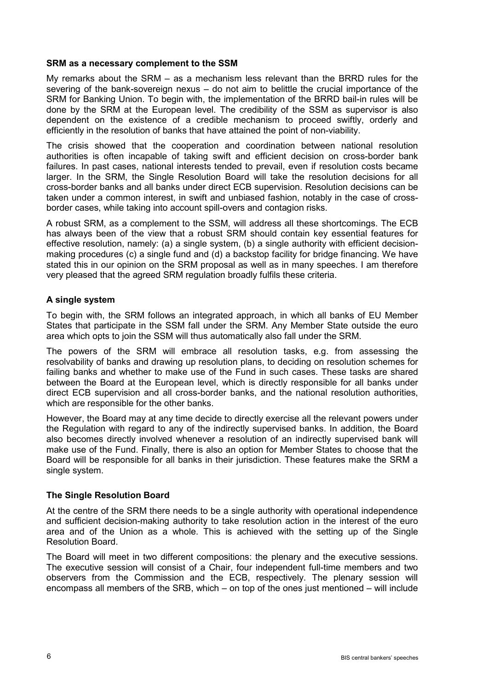#### **SRM as a necessary complement to the SSM**

My remarks about the SRM – as a mechanism less relevant than the BRRD rules for the severing of the bank-sovereign nexus – do not aim to belittle the crucial importance of the SRM for Banking Union. To begin with, the implementation of the BRRD bail-in rules will be done by the SRM at the European level. The credibility of the SSM as supervisor is also dependent on the existence of a credible mechanism to proceed swiftly, orderly and efficiently in the resolution of banks that have attained the point of non-viability.

The crisis showed that the cooperation and coordination between national resolution authorities is often incapable of taking swift and efficient decision on cross-border bank failures. In past cases, national interests tended to prevail, even if resolution costs became larger. In the SRM, the Single Resolution Board will take the resolution decisions for all cross-border banks and all banks under direct ECB supervision. Resolution decisions can be taken under a common interest, in swift and unbiased fashion, notably in the case of crossborder cases, while taking into account spill-overs and contagion risks.

A robust SRM, as a complement to the SSM, will address all these shortcomings. The ECB has always been of the view that a robust SRM should contain key essential features for effective resolution, namely: (a) a single system, (b) a single authority with efficient decisionmaking procedures (c) a single fund and (d) a backstop facility for bridge financing. We have stated this in our opinion on the SRM proposal as well as in many speeches. I am therefore very pleased that the agreed SRM regulation broadly fulfils these criteria.

## **A single system**

To begin with, the SRM follows an integrated approach, in which all banks of EU Member States that participate in the SSM fall under the SRM. Any Member State outside the euro area which opts to join the SSM will thus automatically also fall under the SRM.

The powers of the SRM will embrace all resolution tasks, e.g. from assessing the resolvability of banks and drawing up resolution plans, to deciding on resolution schemes for failing banks and whether to make use of the Fund in such cases. These tasks are shared between the Board at the European level, which is directly responsible for all banks under direct ECB supervision and all cross-border banks, and the national resolution authorities, which are responsible for the other banks.

However, the Board may at any time decide to directly exercise all the relevant powers under the Regulation with regard to any of the indirectly supervised banks. In addition, the Board also becomes directly involved whenever a resolution of an indirectly supervised bank will make use of the Fund. Finally, there is also an option for Member States to choose that the Board will be responsible for all banks in their jurisdiction. These features make the SRM a single system.

## **The Single Resolution Board**

At the centre of the SRM there needs to be a single authority with operational independence and sufficient decision-making authority to take resolution action in the interest of the euro area and of the Union as a whole. This is achieved with the setting up of the Single Resolution Board.

The Board will meet in two different compositions: the plenary and the executive sessions. The executive session will consist of a Chair, four independent full-time members and two observers from the Commission and the ECB, respectively. The plenary session will encompass all members of the SRB, which – on top of the ones just mentioned – will include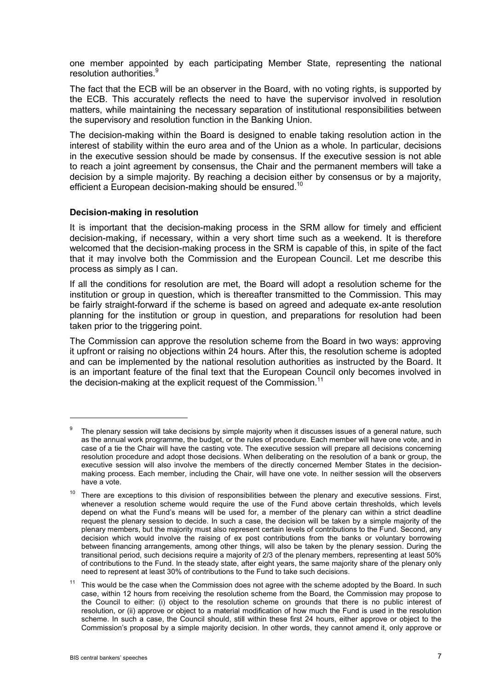one member appointed by each participating Member State, representing the national resolution authorities.<sup>9</sup>

The fact that the ECB will be an observer in the Board, with no voting rights, is supported by the ECB. This accurately reflects the need to have the supervisor involved in resolution matters, while maintaining the necessary separation of institutional responsibilities between the supervisory and resolution function in the Banking Union.

The decision-making within the Board is designed to enable taking resolution action in the interest of stability within the euro area and of the Union as a whole. In particular, decisions in the executive session should be made by consensus. If the executive session is not able to reach a joint agreement by consensus, the Chair and the permanent members will take a decision by a simple majority. By reaching a decision either by consensus or by a majority, efficient a European decision-making should be ensured.<sup>10</sup>

#### **Decision-making in resolution**

It is important that the decision-making process in the SRM allow for timely and efficient decision-making, if necessary, within a very short time such as a weekend. It is therefore welcomed that the decision-making process in the SRM is capable of this, in spite of the fact that it may involve both the Commission and the European Council. Let me describe this process as simply as I can.

If all the conditions for resolution are met, the Board will adopt a resolution scheme for the institution or group in question, which is thereafter transmitted to the Commission. This may be fairly straight-forward if the scheme is based on agreed and adequate ex-ante resolution planning for the institution or group in question, and preparations for resolution had been taken prior to the triggering point.

The Commission can approve the resolution scheme from the Board in two ways: approving it upfront or raising no objections within 24 hours. After this, the resolution scheme is adopted and can be implemented by the national resolution authorities as instructed by the Board. It is an important feature of the final text that the European Council only becomes involved in the decision-making at the explicit request of the Commission.<sup>11</sup>

<sup>&</sup>lt;sup>9</sup> The plenary session will take decisions by simple majority when it discusses issues of a general nature, such as the annual work programme, the budget, or the rules of procedure. Each member will have one vote, and in case of a tie the Chair will have the casting vote. The executive session will prepare all decisions concerning resolution procedure and adopt those decisions. When deliberating on the resolution of a bank or group, the executive session will also involve the members of the directly concerned Member States in the decisionmaking process. Each member, including the Chair, will have one vote. In neither session will the observers have a vote.

 $10$  There are exceptions to this division of responsibilities between the plenary and executive sessions. First, whenever a resolution scheme would require the use of the Fund above certain thresholds, which levels depend on what the Fund's means will be used for, a member of the plenary can within a strict deadline request the plenary session to decide. In such a case, the decision will be taken by a simple majority of the plenary members, but the majority must also represent certain levels of contributions to the Fund. Second, any decision which would involve the raising of ex post contributions from the banks or voluntary borrowing between financing arrangements, among other things, will also be taken by the plenary session. During the transitional period, such decisions require a majority of 2/3 of the plenary members, representing at least 50% of contributions to the Fund. In the steady state, after eight years, the same majority share of the plenary only need to represent at least 30% of contributions to the Fund to take such decisions.

This would be the case when the Commission does not agree with the scheme adopted by the Board. In such case, within 12 hours from receiving the resolution scheme from the Board, the Commission may propose to the Council to either: (i) object to the resolution scheme on grounds that there is no public interest of resolution, or (ii) approve or object to a material modification of how much the Fund is used in the resolution scheme. In such a case, the Council should, still within these first 24 hours, either approve or object to the Commission's proposal by a simple majority decision. In other words, they cannot amend it, only approve or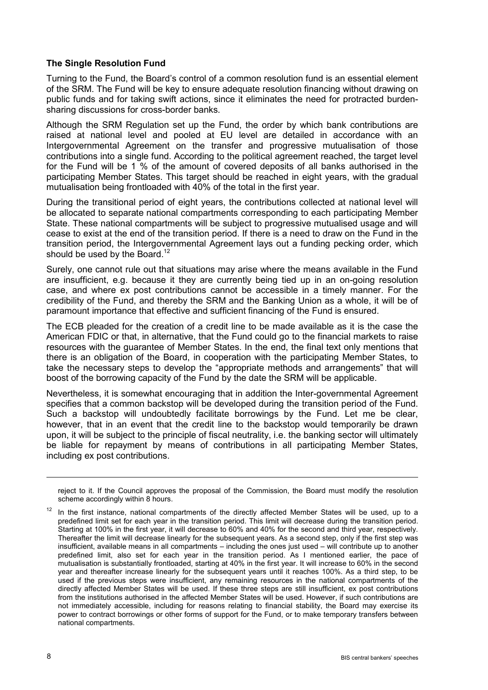#### **The Single Resolution Fund**

Turning to the Fund, the Board's control of a common resolution fund is an essential element of the SRM. The Fund will be key to ensure adequate resolution financing without drawing on public funds and for taking swift actions, since it eliminates the need for protracted burdensharing discussions for cross-border banks.

Although the SRM Regulation set up the Fund, the order by which bank contributions are raised at national level and pooled at EU level are detailed in accordance with an Intergovernmental Agreement on the transfer and progressive mutualisation of those contributions into a single fund. According to the political agreement reached, the target level for the Fund will be 1 % of the amount of covered deposits of all banks authorised in the participating Member States. This target should be reached in eight years, with the gradual mutualisation being frontloaded with 40% of the total in the first year.

During the transitional period of eight years, the contributions collected at national level will be allocated to separate national compartments corresponding to each participating Member State. These national compartments will be subject to progressive mutualised usage and will cease to exist at the end of the transition period. If there is a need to draw on the Fund in the transition period, the Intergovernmental Agreement lays out a funding pecking order, which should be used by the Board.<sup>12</sup>

Surely, one cannot rule out that situations may arise where the means available in the Fund are insufficient, e.g. because it they are currently being tied up in an on-going resolution case, and where ex post contributions cannot be accessible in a timely manner. For the credibility of the Fund, and thereby the SRM and the Banking Union as a whole, it will be of paramount importance that effective and sufficient financing of the Fund is ensured.

The ECB pleaded for the creation of a credit line to be made available as it is the case the American FDIC or that, in alternative, that the Fund could go to the financial markets to raise resources with the guarantee of Member States. In the end, the final text only mentions that there is an obligation of the Board, in cooperation with the participating Member States, to take the necessary steps to develop the "appropriate methods and arrangements" that will boost of the borrowing capacity of the Fund by the date the SRM will be applicable.

Nevertheless, it is somewhat encouraging that in addition the Inter-governmental Agreement specifies that a common backstop will be developed during the transition period of the Fund. Such a backstop will undoubtedly facilitate borrowings by the Fund. Let me be clear, however, that in an event that the credit line to the backstop would temporarily be drawn upon, it will be subject to the principle of fiscal neutrality, i.e. the banking sector will ultimately be liable for repayment by means of contributions in all participating Member States, including ex post contributions.

reject to it. If the Council approves the proposal of the Commission, the Board must modify the resolution scheme accordingly within 8 hours.

 $12$  In the first instance, national compartments of the directly affected Member States will be used, up to a predefined limit set for each year in the transition period. This limit will decrease during the transition period. Starting at 100% in the first year, it will decrease to 60% and 40% for the second and third year, respectively. Thereafter the limit will decrease linearly for the subsequent years. As a second step, only if the first step was insufficient, available means in all compartments – including the ones just used – will contribute up to another predefined limit, also set for each year in the transition period. As I mentioned earlier, the pace of mutualisation is substantially frontloaded, starting at 40% in the first year. It will increase to 60% in the second year and thereafter increase linearly for the subsequent years until it reaches 100%. As a third step, to be used if the previous steps were insufficient, any remaining resources in the national compartments of the directly affected Member States will be used. If these three steps are still insufficient, ex post contributions from the institutions authorised in the affected Member States will be used. However, if such contributions are not immediately accessible, including for reasons relating to financial stability, the Board may exercise its power to contract borrowings or other forms of support for the Fund, or to make temporary transfers between national compartments.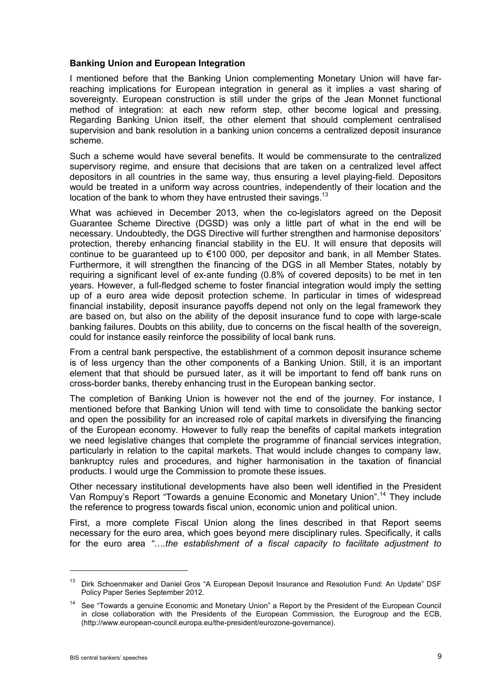#### **Banking Union and European Integration**

I mentioned before that the Banking Union complementing Monetary Union will have farreaching implications for European integration in general as it implies a vast sharing of sovereignty. European construction is still under the grips of the Jean Monnet functional method of integration: at each new reform step, other become logical and pressing. Regarding Banking Union itself, the other element that should complement centralised supervision and bank resolution in a banking union concerns a centralized deposit insurance scheme.

Such a scheme would have several benefits. It would be commensurate to the centralized supervisory regime, and ensure that decisions that are taken on a centralized level affect depositors in all countries in the same way, thus ensuring a level playing-field. Depositors would be treated in a uniform way across countries, independently of their location and the location of the bank to whom they have entrusted their savings.<sup>13</sup>

What was achieved in December 2013, when the co-legislators agreed on the Deposit Guarantee Scheme Directive (DGSD) was only a little part of what in the end will be necessary. Undoubtedly, the DGS Directive will further strengthen and harmonise depositors' protection, thereby enhancing financial stability in the EU. It will ensure that deposits will continue to be guaranteed up to €100 000, per depositor and bank, in all Member States. Furthermore, it will strengthen the financing of the DGS in all Member States, notably by requiring a significant level of ex-ante funding (0.8% of covered deposits) to be met in ten years. However, a full-fledged scheme to foster financial integration would imply the setting up of a euro area wide deposit protection scheme. In particular in times of widespread financial instability, deposit insurance payoffs depend not only on the legal framework they are based on, but also on the ability of the deposit insurance fund to cope with large-scale banking failures. Doubts on this ability, due to concerns on the fiscal health of the sovereign, could for instance easily reinforce the possibility of local bank runs.

From a central bank perspective, the establishment of a common deposit insurance scheme is of less urgency than the other components of a Banking Union. Still, it is an important element that that should be pursued later, as it will be important to fend off bank runs on cross-border banks, thereby enhancing trust in the European banking sector.

The completion of Banking Union is however not the end of the journey. For instance, I mentioned before that Banking Union will tend with time to consolidate the banking sector and open the possibility for an increased role of capital markets in diversifying the financing of the European economy. However to fully reap the benefits of capital markets integration we need legislative changes that complete the programme of financial services integration, particularly in relation to the capital markets. That would include changes to company law, bankruptcy rules and procedures, and higher harmonisation in the taxation of financial products. I would urge the Commission to promote these issues.

Other necessary institutional developments have also been well identified in the President Van Rompuy's Report "Towards a genuine Economic and Monetary Union".<sup>14</sup> They include the reference to progress towards fiscal union, economic union and political union.

First, a more complete Fiscal Union along the lines described in that Report seems necessary for the euro area, which goes beyond mere disciplinary rules. Specifically, it calls for the euro area *"….the establishment of a fiscal capacity to facilitate adjustment to* 

<sup>&</sup>lt;sup>13</sup> Dirk Schoenmaker and Daniel Gros "A European Deposit Insurance and Resolution Fund: An Update" DSF Policy Paper Series September 2012.

<sup>&</sup>lt;sup>14</sup> See "Towards a genuine Economic and Monetary Union" a Report by the President of the European Council in close collaboration with the Presidents of the European Commission, the Eurogroup and the ECB, (http://www.european-council.europa.eu/the-president/eurozone-governance).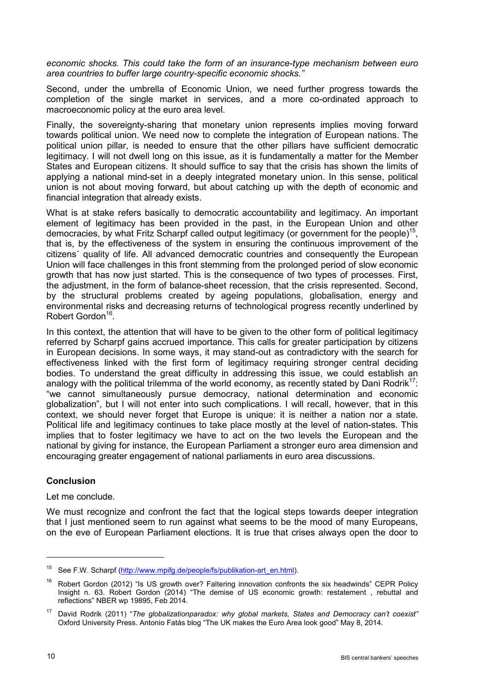*economic shocks. This could take the form of an insurance-type mechanism between euro area countries to buffer large country-specific economic shocks."*

Second, under the umbrella of Economic Union, we need further progress towards the completion of the single market in services, and a more co-ordinated approach to macroeconomic policy at the euro area level.

Finally, the sovereignty-sharing that monetary union represents implies moving forward towards political union. We need now to complete the integration of European nations. The political union pillar, is needed to ensure that the other pillars have sufficient democratic legitimacy. I will not dwell long on this issue, as it is fundamentally a matter for the Member States and European citizens. It should suffice to say that the crisis has shown the limits of applying a national mind-set in a deeply integrated monetary union. In this sense, political union is not about moving forward, but about catching up with the depth of economic and financial integration that already exists.

What is at stake refers basically to democratic accountability and legitimacy. An important element of legitimacy has been provided in the past, in the European Union and other democracies, by what Fritz Scharpf called output legitimacy (or government for the people)<sup>15</sup>, that is, by the effectiveness of the system in ensuring the continuous improvement of the citizens´ quality of life. All advanced democratic countries and consequently the European Union will face challenges in this front stemming from the prolonged period of slow economic growth that has now just started. This is the consequence of two types of processes. First, the adjustment, in the form of balance-sheet recession, that the crisis represented. Second, by the structural problems created by ageing populations, globalisation, energy and environmental risks and decreasing returns of technological progress recently underlined by Robert Gordon<sup>16</sup>.

In this context, the attention that will have to be given to the other form of political legitimacy referred by Scharpf gains accrued importance. This calls for greater participation by citizens in European decisions. In some ways, it may stand-out as contradictory with the search for effectiveness linked with the first form of legitimacy requiring stronger central deciding bodies. To understand the great difficulty in addressing this issue, we could establish an analogy with the political trilemma of the world economy, as recently stated by Dani Rodrik<sup>17</sup>: "we cannot simultaneously pursue democracy, national determination and economic globalization", but I will not enter into such complications. I will recall, however, that in this context, we should never forget that Europe is unique: it is neither a nation nor a state. Political life and legitimacy continues to take place mostly at the level of nation-states. This implies that to foster legitimacy we have to act on the two levels the European and the national by giving for instance, the European Parliament a stronger euro area dimension and encouraging greater engagement of national parliaments in euro area discussions.

## **Conclusion**

Let me conclude.

We must recognize and confront the fact that the logical steps towards deeper integration that I just mentioned seem to run against what seems to be the mood of many Europeans, on the eve of European Parliament elections. It is true that crises always open the door to

<sup>&</sup>lt;sup>15</sup> See F.W. Scharpf [\(http://www.mpifg.de/people/fs/publikation-art\\_en.html\)](http://www.mpifg.de/people/fs/publikation-art_en.html).

Robert Gordon (2012) "Is US growth over? Faltering innovation confronts the six headwinds" CEPR Policy Insight n. 63. Robert Gordon (2014) "The demise of US economic growth: restatement, rebuttal and reflections" NBER wp 19895, Feb 2014.

<sup>17</sup> David Rodrik (2011) "*The globalizationparadox: why global markets, States and Democracy can't coexist"*  Oxford University Press. Antonio Fatás blog "The UK makes the Euro Area look good" May 8, 2014.